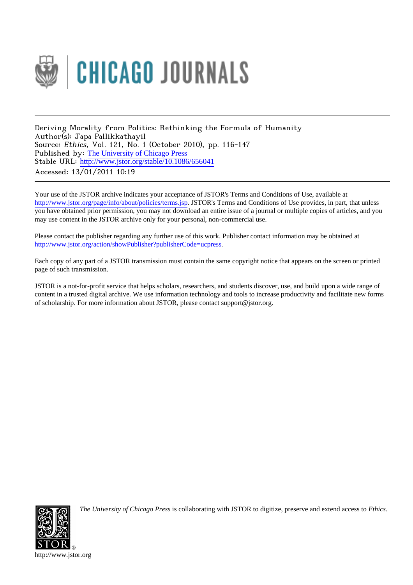

Deriving Morality from Politics: Rethinking the Formula of Humanity Author(s): Japa Pallikkathayil Source: Ethics, Vol. 121, No. 1 (October 2010), pp. 116-147 Published by: [The University of Chicago Press](http://www.jstor.org/action/showPublisher?publisherCode=ucpress) Stable URL: http://www.jstor.org/stable/10.1086/656041 Accessed: 13/01/2011 10:19

Your use of the JSTOR archive indicates your acceptance of JSTOR's Terms and Conditions of Use, available at <http://www.jstor.org/page/info/about/policies/terms.jsp>. JSTOR's Terms and Conditions of Use provides, in part, that unless you have obtained prior permission, you may not download an entire issue of a journal or multiple copies of articles, and you may use content in the JSTOR archive only for your personal, non-commercial use.

Please contact the publisher regarding any further use of this work. Publisher contact information may be obtained at [http://www.jstor.org/action/showPublisher?publisherCode=ucpress.](http://www.jstor.org/action/showPublisher?publisherCode=ucpress)

Each copy of any part of a JSTOR transmission must contain the same copyright notice that appears on the screen or printed page of such transmission.

JSTOR is a not-for-profit service that helps scholars, researchers, and students discover, use, and build upon a wide range of content in a trusted digital archive. We use information technology and tools to increase productivity and facilitate new forms of scholarship. For more information about JSTOR, please contact support@jstor.org.



*The University of Chicago Press* is collaborating with JSTOR to digitize, preserve and extend access to *Ethics.*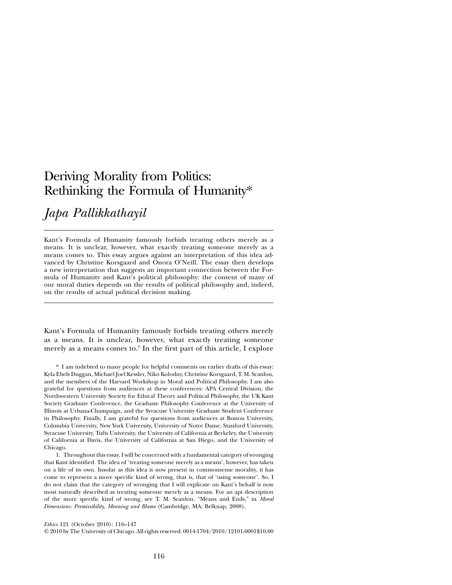# Deriving Morality from Politics: Rethinking the Formula of Humanity\*

# *Japa Pallikkathayil*

Kant's Formula of Humanity famously forbids treating others merely as a means. It is unclear, however, what exactly treating someone merely as a means comes to. This essay argues against an interpretation of this idea advanced by Christine Korsgaard and Onora O'Neill. The essay then develops a new interpretation that suggests an important connection between the Formula of Humanity and Kant's political philosophy: the content of many of our moral duties depends on the results of political philosophy and, indeed, on the results of actual political decision making.

Kant's Formula of Humanity famously forbids treating others merely as a means. It is unclear, however, what exactly treating someone merely as a means comes to. $<sup>1</sup>$  In the first part of this article, I explore</sup>

\* I am indebted to many people for helpful comments on earlier drafts of this essay: Kyla Ebels Duggan, Michael Joel Kessler, Niko Kolodny, Christine Korsgaard, T. M. Scanlon, and the members of the Harvard Workshop in Moral and Political Philosophy. I am also grateful for questions from audiences at these conferences: APA Central Division, the Northwestern University Society for Ethical Theory and Political Philosophy, the UK Kant Society Graduate Conference, the Graduate Philosophy Conference at the University of Illinois at Urbana-Champaign, and the Syracuse University Graduate Student Conference in Philosophy. Finally, I am grateful for questions from audiences at Boston University, Columbia University, New York University, University of Notre Dame, Stanford University, Syracuse University, Tufts University, the University of California at Berkeley, the University of California at Davis, the University of California at San Diego, and the University of Chicago.

1. Throughout this essay, I will be concerned with a fundamental category of wronging that Kant identified. The idea of 'treating someone merely as a means', however, has taken on a life of its own. Insofar as this idea is now present in commonsense morality, it has come to represent a more specific kind of wrong, that is, that of 'using someone'. So, I do not claim that the category of wronging that I will explicate on Kant's behalf is now most naturally described as treating someone merely as a means. For an apt description of the more specific kind of wrong, see T. M. Scanlon, "Means and Ends," in *Moral Dimensions: Permissibility, Meaning and Blame* (Cambridge, MA: Belknap, 2008).

*Ethics* 121 (October 2010): 116–147

2010 by The University of Chicago. All rights reserved. 0014-1704/2010/12101-0001\$10.00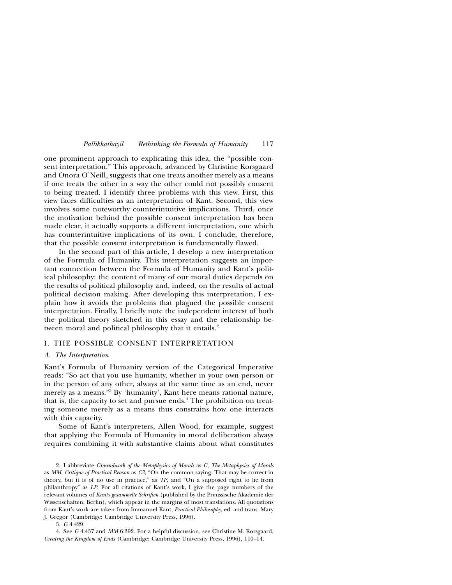one prominent approach to explicating this idea, the "possible consent interpretation." This approach, advanced by Christine Korsgaard and Onora O'Neill, suggests that one treats another merely as a means if one treats the other in a way the other could not possibly consent to being treated. I identify three problems with this view. First, this view faces difficulties as an interpretation of Kant. Second, this view involves some noteworthy counterintuitive implications. Third, once the motivation behind the possible consent interpretation has been made clear, it actually supports a different interpretation, one which has counterintuitive implications of its own. I conclude, therefore, that the possible consent interpretation is fundamentally flawed.

In the second part of this article, I develop a new interpretation of the Formula of Humanity. This interpretation suggests an important connection between the Formula of Humanity and Kant's political philosophy: the content of many of our moral duties depends on the results of political philosophy and, indeed, on the results of actual political decision making. After developing this interpretation, I explain how it avoids the problems that plagued the possible consent interpretation. Finally, I briefly note the independent interest of both the political theory sketched in this essay and the relationship between moral and political philosophy that it entails.<sup>2</sup>

## I. THE POSSIBLE CONSENT INTERPRETATION

## *A. The Interpretation*

Kant's Formula of Humanity version of the Categorical Imperative reads: "So act that you use humanity, whether in your own person or in the person of any other, always at the same time as an end, never merely as a means."<sup>3</sup> By 'humanity', Kant here means rational nature, that is, the capacity to set and pursue ends.<sup>4</sup> The prohibition on treating someone merely as a means thus constrains how one interacts with this capacity.

Some of Kant's interpreters, Allen Wood, for example, suggest that applying the Formula of Humanity in moral deliberation always requires combining it with substantive claims about what constitutes

2. I abbreviate *Groundwork of the Metaphysics of Morals* as *G*, *The Metaphysics of Morals* as *MM*, *Critique of Practical Reason* as *C2*, "On the common saying: That may be correct in theory, but it is of no use in practice," as *TP*, and "On a supposed right to lie from philanthropy" as *LP*. For all citations of Kant's work, I give the page numbers of the relevant volumes of *Kants gesammelte Schriften* (published by the Preussische Akademie der Wissenschaften, Berlin), which appear in the margins of most translations. All quotations from Kant's work are taken from Immanuel Kant, *Practical Philosophy*, ed. and trans. Mary J. Gregor (Cambridge: Cambridge University Press, 1996).

3. *G* 4:429.

4. See *G* 4:437 and *MM* 6:392. For a helpful discussion, see Christine M. Korsgaard, *Creating the Kingdom of Ends* (Cambridge: Cambridge University Press, 1996), 110–14.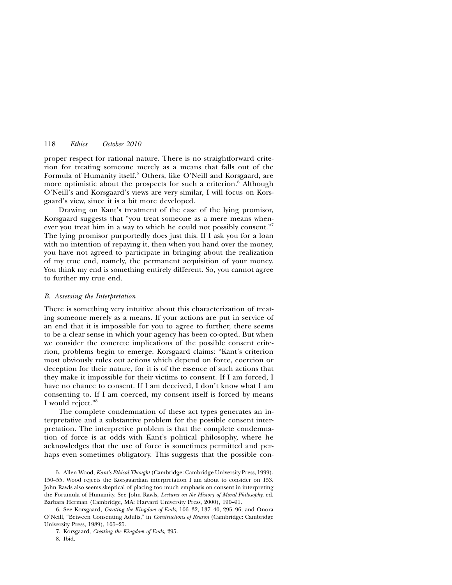proper respect for rational nature. There is no straightforward criterion for treating someone merely as a means that falls out of the Formula of Humanity itself.<sup>5</sup> Others, like O'Neill and Korsgaard, are more optimistic about the prospects for such a criterion.<sup>6</sup> Although O'Neill's and Korsgaard's views are very similar, I will focus on Korsgaard's view, since it is a bit more developed.

Drawing on Kant's treatment of the case of the lying promisor, Korsgaard suggests that "you treat someone as a mere means whenever you treat him in a way to which he could not possibly consent."<sup>7</sup> The lying promisor purportedly does just this. If I ask you for a loan with no intention of repaying it, then when you hand over the money, you have not agreed to participate in bringing about the realization of my true end, namely, the permanent acquisition of your money. You think my end is something entirely different. So, you cannot agree to further my true end.

## *B. Assessing the Interpretation*

There is something very intuitive about this characterization of treating someone merely as a means. If your actions are put in service of an end that it is impossible for you to agree to further, there seems to be a clear sense in which your agency has been co-opted. But when we consider the concrete implications of the possible consent criterion, problems begin to emerge. Korsgaard claims: "Kant's criterion most obviously rules out actions which depend on force, coercion or deception for their nature, for it is of the essence of such actions that they make it impossible for their victims to consent. If I am forced, I have no chance to consent. If I am deceived, I don't know what I am consenting to. If I am coerced, my consent itself is forced by means I would reject."<sup>8</sup>

The complete condemnation of these act types generates an interpretative and a substantive problem for the possible consent interpretation. The interpretive problem is that the complete condemnation of force is at odds with Kant's political philosophy, where he acknowledges that the use of force is sometimes permitted and perhaps even sometimes obligatory. This suggests that the possible con-

5. Allen Wood, *Kant's Ethical Thought* (Cambridge: Cambridge University Press, 1999), 150–55. Wood rejects the Korsgaardian interpretation I am about to consider on 153. John Rawls also seems skeptical of placing too much emphasis on consent in interpreting the Forumula of Humanity. See John Rawls, *Lectures on the History of Moral Philosophy*, ed. Barbara Herman (Cambridge, MA: Harvard University Press, 2000), 190–91.

6. See Korsgaard, *Creating the Kingdom of Ends*, 106–32, 137–40, 295–96; and Onora O'Neill, "Between Consenting Adults," in *Constructions of Reason* (Cambridge: Cambridge University Press, 1989), 105–25.

7. Korsgaard, *Creating the Kingdom of Ends*, 295.

8. Ibid.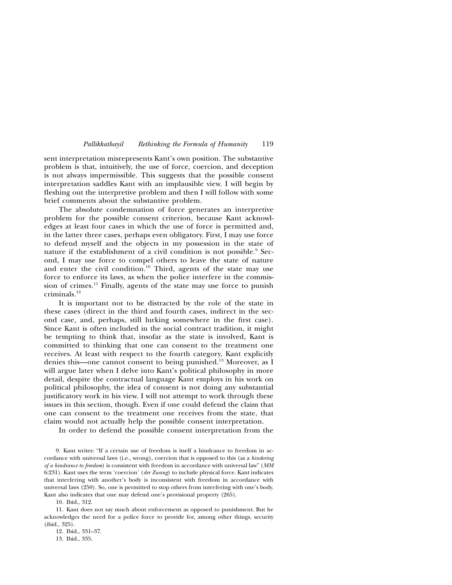sent interpretation misrepresents Kant's own position. The substantive problem is that, intuitively, the use of force, coercion, and deception is not always impermissible. This suggests that the possible consent interpretation saddles Kant with an implausible view. I will begin by fleshing out the interpretive problem and then I will follow with some brief comments about the substantive problem.

The absolute condemnation of force generates an interpretive problem for the possible consent criterion, because Kant acknowledges at least four cases in which the use of force is permitted and, in the latter three cases, perhaps even obligatory. First, I may use force to defend myself and the objects in my possession in the state of nature if the establishment of a civil condition is not possible.<sup>9</sup> Second, I may use force to compel others to leave the state of nature and enter the civil condition.<sup>10</sup> Third, agents of the state may use force to enforce its laws, as when the police interfere in the commission of crimes.<sup>11</sup> Finally, agents of the state may use force to punish criminals.<sup>12</sup>

It is important not to be distracted by the role of the state in these cases (direct in the third and fourth cases, indirect in the second case, and, perhaps, still lurking somewhere in the first case). Since Kant is often included in the social contract tradition, it might be tempting to think that, insofar as the state is involved, Kant is committed to thinking that one can consent to the treatment one receives. At least with respect to the fourth category, Kant explicitly denies this—one cannot consent to being punished.<sup>13</sup> Moreover, as I will argue later when I delve into Kant's political philosophy in more detail, despite the contractual language Kant employs in his work on political philosophy, the idea of consent is not doing any substantial justificatory work in his view. I will not attempt to work through these issues in this section, though. Even if one could defend the claim that one can consent to the treatment one receives from the state, that claim would not actually help the possible consent interpretation.

In order to defend the possible consent interpretation from the

10. Ibid., 312.

11. Kant does not say much about enforcement as opposed to punishment. But he acknowledges the need for a police force to provide for, among other things, security (ibid., 325).

12. Ibid., 331–37.

13. Ibid., 335.

<sup>9.</sup> Kant writes: "If a certain use of freedom is itself a hindrance to freedom in accordance with universal laws (i.e., wrong), coercion that is opposed to this (as a *hindering of a hindrance to freedom*) is consistent with freedom in accordance with universal law" (*MM* 6:231). Kant uses the term 'coercion' (*der Zwang*) to include physical force. Kant indicates that interfering with another's body is inconsistent with freedom in accordance with universal laws (250). So, one is permitted to stop others from interfering with one's body. Kant also indicates that one may defend one's provisional property (265).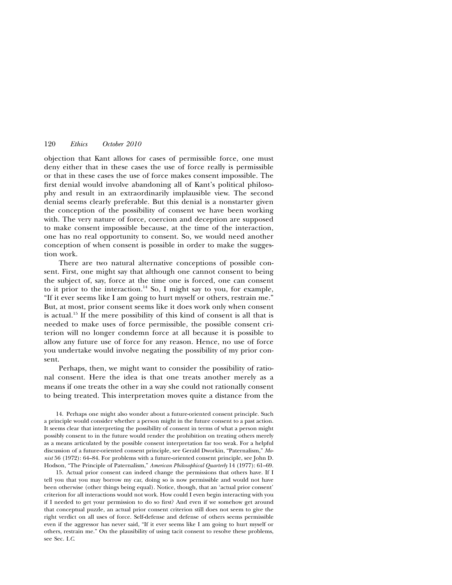objection that Kant allows for cases of permissible force, one must deny either that in these cases the use of force really is permissible or that in these cases the use of force makes consent impossible. The first denial would involve abandoning all of Kant's political philosophy and result in an extraordinarily implausible view. The second denial seems clearly preferable. But this denial is a nonstarter given the conception of the possibility of consent we have been working with. The very nature of force, coercion and deception are supposed to make consent impossible because, at the time of the interaction, one has no real opportunity to consent. So, we would need another conception of when consent is possible in order to make the suggestion work.

There are two natural alternative conceptions of possible consent. First, one might say that although one cannot consent to being the subject of, say, force at the time one is forced, one can consent to it prior to the interaction.<sup>14</sup> So, I might say to you, for example, "If it ever seems like I am going to hurt myself or others, restrain me." But, at most, prior consent seems like it does work only when consent is actual.<sup>15</sup> If the mere possibility of this kind of consent is all that is needed to make uses of force permissible, the possible consent criterion will no longer condemn force at all because it is possible to allow any future use of force for any reason. Hence, no use of force you undertake would involve negating the possibility of my prior consent.

Perhaps, then, we might want to consider the possibility of rational consent. Here the idea is that one treats another merely as a means if one treats the other in a way she could not rationally consent to being treated. This interpretation moves quite a distance from the

14. Perhaps one might also wonder about a future-oriented consent principle. Such a principle would consider whether a person might in the future consent to a past action. It seems clear that interpreting the possibility of consent in terms of what a person might possibly consent to in the future would render the prohibition on treating others merely as a means articulated by the possible consent interpretation far too weak. For a helpful discussion of a future-oriented consent principle, see Gerald Dworkin, "Paternalism," *Monist* 56 (1972): 64–84. For problems with a future-oriented consent principle, see John D. Hodson, "The Principle of Paternalism," *American Philosophical Quarterly* 14 (1977): 61–69.

15. Actual prior consent can indeed change the permissions that others have. If I tell you that you may borrow my car, doing so is now permissible and would not have been otherwise (other things being equal). Notice, though, that an 'actual prior consent' criterion for all interactions would not work. How could I even begin interacting with you if I needed to get your permission to do so first? And even if we somehow get around that conceptual puzzle, an actual prior consent criterion still does not seem to give the right verdict on all uses of force. Self-defense and defense of others seems permissible even if the aggressor has never said, "If it ever seems like I am going to hurt myself or others, restrain me." On the plausibility of using tacit consent to resolve these problems, see Sec. I.*C*.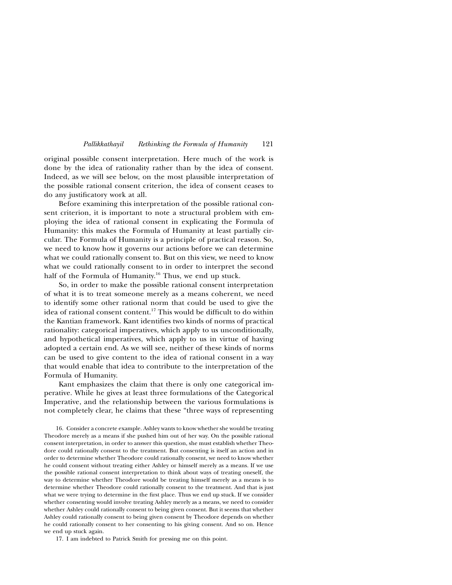original possible consent interpretation. Here much of the work is done by the idea of rationality rather than by the idea of consent. Indeed, as we will see below, on the most plausible interpretation of the possible rational consent criterion, the idea of consent ceases to do any justificatory work at all.

Before examining this interpretation of the possible rational consent criterion, it is important to note a structural problem with employing the idea of rational consent in explicating the Formula of Humanity: this makes the Formula of Humanity at least partially circular. The Formula of Humanity is a principle of practical reason. So, we need to know how it governs our actions before we can determine what we could rationally consent to. But on this view, we need to know what we could rationally consent to in order to interpret the second half of the Formula of Humanity.<sup>16</sup> Thus, we end up stuck.

So, in order to make the possible rational consent interpretation of what it is to treat someone merely as a means coherent, we need to identify some other rational norm that could be used to give the idea of rational consent content.<sup>17</sup> This would be difficult to do within the Kantian framework. Kant identifies two kinds of norms of practical rationality: categorical imperatives, which apply to us unconditionally, and hypothetical imperatives, which apply to us in virtue of having adopted a certain end. As we will see, neither of these kinds of norms can be used to give content to the idea of rational consent in a way that would enable that idea to contribute to the interpretation of the Formula of Humanity.

Kant emphasizes the claim that there is only one categorical imperative. While he gives at least three formulations of the Categorical Imperative, and the relationship between the various formulations is not completely clear, he claims that these "three ways of representing

16. Consider a concrete example. Ashley wants to know whether she would be treating Theodore merely as a means if she pushed him out of her way. On the possible rational consent interpretation, in order to answer this question, she must establish whether Theodore could rationally consent to the treatment. But consenting is itself an action and in order to determine whether Theodore could rationally consent, we need to know whether he could consent without treating either Ashley or himself merely as a means. If we use the possible rational consent interpretation to think about ways of treating oneself, the way to determine whether Theodore would be treating himself merely as a means is to determine whether Theodore could rationally consent to the treatment. And that is just what we were trying to determine in the first place. Thus we end up stuck. If we consider whether consenting would involve treating Ashley merely as a means, we need to consider whether Ashley could rationally consent to being given consent. But it seems that whether Ashley could rationally consent to being given consent by Theodore depends on whether he could rationally consent to her consenting to his giving consent. And so on. Hence we end up stuck again.

17. I am indebted to Patrick Smith for pressing me on this point.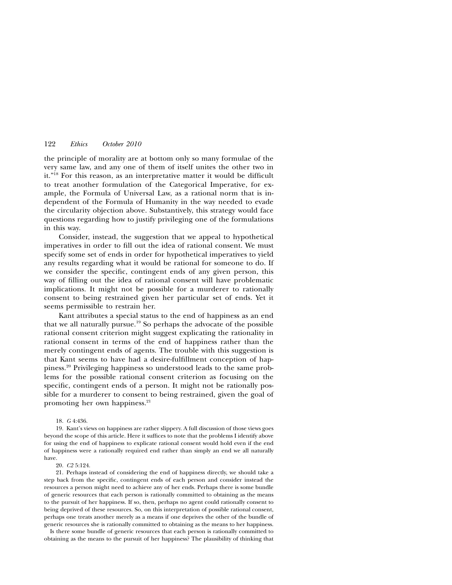the principle of morality are at bottom only so many formulae of the very same law, and any one of them of itself unites the other two in it."<sup>18</sup> For this reason, as an interpretative matter it would be difficult to treat another formulation of the Categorical Imperative, for example, the Formula of Universal Law, as a rational norm that is independent of the Formula of Humanity in the way needed to evade the circularity objection above. Substantively, this strategy would face questions regarding how to justify privileging one of the formulations in this way.

Consider, instead, the suggestion that we appeal to hypothetical imperatives in order to fill out the idea of rational consent. We must specify some set of ends in order for hypothetical imperatives to yield any results regarding what it would be rational for someone to do. If we consider the specific, contingent ends of any given person, this way of filling out the idea of rational consent will have problematic implications. It might not be possible for a murderer to rationally consent to being restrained given her particular set of ends. Yet it seems permissible to restrain her.

Kant attributes a special status to the end of happiness as an end that we all naturally pursue.<sup>19</sup> So perhaps the advocate of the possible rational consent criterion might suggest explicating the rationality in rational consent in terms of the end of happiness rather than the merely contingent ends of agents. The trouble with this suggestion is that Kant seems to have had a desire-fulfillment conception of happiness.<sup>20</sup> Privileging happiness so understood leads to the same problems for the possible rational consent criterion as focusing on the specific, contingent ends of a person. It might not be rationally possible for a murderer to consent to being restrained, given the goal of promoting her own happiness.<sup>21</sup>

## 18. *G* 4:436.

19. Kant's views on happiness are rather slippery. A full discussion of those views goes beyond the scope of this article. Here it suffices to note that the problems I identify above for using the end of happiness to explicate rational consent would hold even if the end of happiness were a rationally required end rather than simply an end we all naturally have.

#### 20. *C2* 5:124.

21. Perhaps instead of considering the end of happiness directly, we should take a step back from the specific, contingent ends of each person and consider instead the resources a person might need to achieve any of her ends. Perhaps there is some bundle of generic resources that each person is rationally committed to obtaining as the means to the pursuit of her happiness. If so, then, perhaps no agent could rationally consent to being deprived of these resources. So, on this interpretation of possible rational consent, perhaps one treats another merely as a means if one deprives the other of the bundle of generic resources she is rationally committed to obtaining as the means to her happiness.

Is there some bundle of generic resources that each person is rationally committed to obtaining as the means to the pursuit of her happiness? The plausibility of thinking that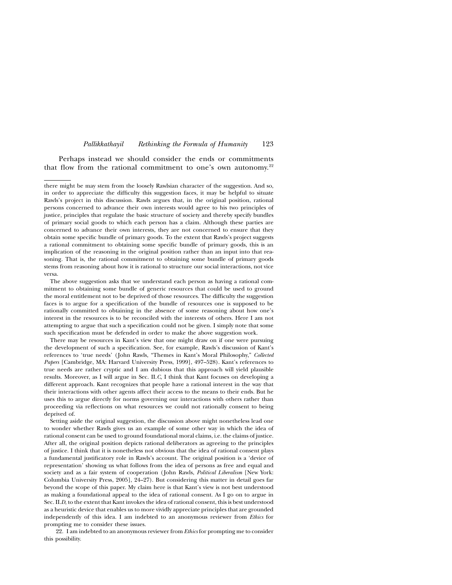Perhaps instead we should consider the ends or commitments that flow from the rational commitment to one's own autonomy.<sup>22</sup>

there might be may stem from the loosely Rawlsian character of the suggestion. And so, in order to appreciate the difficulty this suggestion faces, it may be helpful to situate Rawls's project in this discussion. Rawls argues that, in the original position, rational persons concerned to advance their own interests would agree to his two principles of justice, principles that regulate the basic structure of society and thereby specify bundles of primary social goods to which each person has a claim. Although these parties are concerned to advance their own interests, they are not concerned to ensure that they obtain some specific bundle of primary goods. To the extent that Rawls's project suggests a rational commitment to obtaining some specific bundle of primary goods, this is an implication of the reasoning in the original position rather than an input into that reasoning. That is, the rational commitment to obtaining some bundle of primary goods stems from reasoning about how it is rational to structure our social interactions, not vice versa.

The above suggestion asks that we understand each person as having a rational commitment to obtaining some bundle of generic resources that could be used to ground the moral entitlement not to be deprived of those resources. The difficulty the suggestion faces is to argue for a specification of the bundle of resources one is supposed to be rationally committed to obtaining in the absence of some reasoning about how one's interest in the resources is to be reconciled with the interests of others. Here I am not attempting to argue that such a specification could not be given. I simply note that some such specification must be defended in order to make the above suggestion work.

There may be resources in Kant's view that one might draw on if one were pursuing the development of such a specification. See, for example, Rawls's discussion of Kant's references to 'true needs' (John Rawls, "Themes in Kant's Moral Philosophy," *Collected Papers* [Cambridge, MA: Harvard University Press, 1999], 497–528). Kant's references to true needs are rather cryptic and I am dubious that this approach will yield plausible results. Moreover, as I will argue in Sec. II.*C*, I think that Kant focuses on developing a different approach. Kant recognizes that people have a rational interest in the way that their interactions with other agents affect their access to the means to their ends. But he uses this to argue directly for norms governing our interactions with others rather than proceeding via reflections on what resources we could not rationally consent to being deprived of.

Setting aside the original suggestion, the discussion above might nonetheless lead one to wonder whether Rawls gives us an example of some other way in which the idea of rational consent can be used to ground foundational moral claims, i.e. the claims of justice. After all, the original position depicts rational deliberators as agreeing to the principles of justice. I think that it is nonetheless not obvious that the idea of rational consent plays a fundamental justificatory role in Rawls's account. The original position is a 'device of representation' showing us what follows from the idea of persons as free and equal and society and as a fair system of cooperation (John Rawls, *Political Liberalism* [New York: Columbia University Press, 2005], 24–27). But considering this matter in detail goes far beyond the scope of this paper. My claim here is that Kant's view is not best understood as making a foundational appeal to the idea of rational consent. As I go on to argue in Sec. II.*D*, to the extent that Kant invokes the idea of rational consent, this is best understood as a heuristic device that enables us to more vividly appreciate principles that are grounded independently of this idea. I am indebted to an anonymous reviewer from *Ethics* for prompting me to consider these issues.

22. I am indebted to an anonymous reviewer from *Ethics* for prompting me to consider this possibility.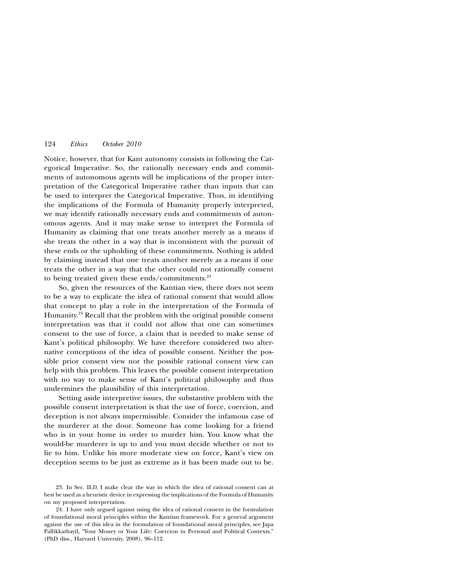Notice, however, that for Kant autonomy consists in following the Categorical Imperative. So, the rationally necessary ends and commitments of autonomous agents will be implications of the proper interpretation of the Categorical Imperative rather than inputs that can be used to interpret the Categorical Imperative. Thus, in identifying the implications of the Formula of Humanity properly interpreted, we may identify rationally necessary ends and commitments of autonomous agents. And it may make sense to interpret the Formula of Humanity as claiming that one treats another merely as a means if she treats the other in a way that is inconsistent with the pursuit of these ends or the upholding of these commitments. Nothing is added by claiming instead that one treats another merely as a means if one treats the other in a way that the other could not rationally consent to being treated given these ends/commitments.<sup>23</sup>

So, given the resources of the Kantian view, there does not seem to be a way to explicate the idea of rational consent that would allow that concept to play a role in the interpretation of the Formula of Humanity.<sup>24</sup> Recall that the problem with the original possible consent interpretation was that it could not allow that one can sometimes consent to the use of force, a claim that is needed to make sense of Kant's political philosophy. We have therefore considered two alternative conceptions of the idea of possible consent. Neither the possible prior consent view nor the possible rational consent view can help with this problem. This leaves the possible consent interpretation with no way to make sense of Kant's political philosophy and thus undermines the plausibility of this interpretation.

Setting aside interpretive issues, the substantive problem with the possible consent interpretation is that the use of force, coercion, and deception is not always impermissible. Consider the infamous case of the murderer at the door. Someone has come looking for a friend who is in your home in order to murder him. You know what the would-be murderer is up to and you must decide whether or not to lie to him. Unlike his more moderate view on force, Kant's view on deception seems to be just as extreme as it has been made out to be.

<sup>23.</sup> In Sec. II.*D*, I make clear the way in which the idea of rational consent can at best be used as a heuristic device in expressing the implications of the Formula of Humanity on my proposed interpretation.

<sup>24.</sup> I have only argued against using the idea of rational consent in the formulation of foundational moral principles within the Kantian framework. For a general argument against the use of this idea in the formulation of foundational moral principles, see Japa Pallikkathayil, "Your Money or Your Life: Coercion in Personal and Political Contexts," (PhD diss., Harvard University, 2008), 96–112.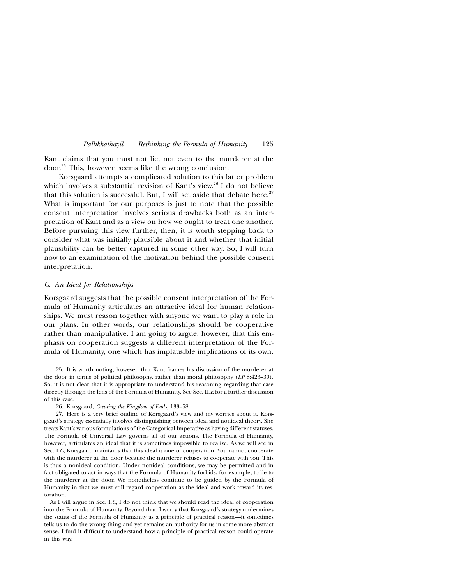Kant claims that you must not lie, not even to the murderer at the door.<sup>25</sup> This, however, seems like the wrong conclusion.

Korsgaard attempts a complicated solution to this latter problem which involves a substantial revision of Kant's view.<sup>26</sup> I do not believe that this solution is successful. But, I will set aside that debate here.<sup>27</sup> What is important for our purposes is just to note that the possible consent interpretation involves serious drawbacks both as an interpretation of Kant and as a view on how we ought to treat one another. Before pursuing this view further, then, it is worth stepping back to consider what was initially plausible about it and whether that initial plausibility can be better captured in some other way. So, I will turn now to an examination of the motivation behind the possible consent interpretation.

## *C. An Ideal for Relationships*

Korsgaard suggests that the possible consent interpretation of the Formula of Humanity articulates an attractive ideal for human relationships. We must reason together with anyone we want to play a role in our plans. In other words, our relationships should be cooperative rather than manipulative. I am going to argue, however, that this emphasis on cooperation suggests a different interpretation of the Formula of Humanity, one which has implausible implications of its own.

25. It is worth noting, however, that Kant frames his discussion of the murderer at the door in terms of political philosophy, rather than moral philosophy (*LP* 8:423–30). So, it is not clear that it is appropriate to understand his reasoning regarding that case directly through the lens of the Formula of Humanity. See Sec. II.*E* for a further discussion of this case.

26. Korsgaard, *Creating the Kingdom of Ends*, 133–58.

27. Here is a very brief outline of Korsgaard's view and my worries about it. Korsgaard's strategy essentially involves distinguishing between ideal and nonideal theory. She treats Kant's various formulations of the Categorical Imperative as having different statuses. The Formula of Universal Law governs all of our actions. The Formula of Humanity, however, articulates an ideal that it is sometimes impossible to realize. As we will see in Sec. I.*C*, Korsgaard maintains that this ideal is one of cooperation. You cannot cooperate with the murderer at the door because the murderer refuses to cooperate with you. This is thus a nonideal condition. Under nonideal conditions, we may be permitted and in fact obligated to act in ways that the Formula of Humanity forbids, for example, to lie to the murderer at the door. We nonetheless continue to be guided by the Formula of Humanity in that we must still regard cooperation as the ideal and work toward its restoration.

As I will argue in Sec. I.*C*, I do not think that we should read the ideal of cooperation into the Formula of Humanity. Beyond that, I worry that Korsgaard's strategy undermines the status of the Formula of Humanity as a principle of practical reason—it sometimes tells us to do the wrong thing and yet remains an authority for us in some more abstract sense. I find it difficult to understand how a principle of practical reason could operate in this way.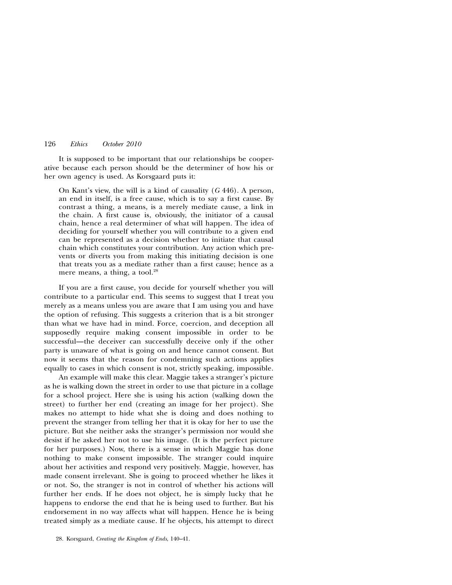It is supposed to be important that our relationships be cooperative because each person should be the determiner of how his or her own agency is used. As Korsgaard puts it:

On Kant's view, the will is a kind of causality (*G* 446). A person, an end in itself, is a free cause, which is to say a first cause. By contrast a thing, a means, is a merely mediate cause, a link in the chain. A first cause is, obviously, the initiator of a causal chain, hence a real determiner of what will happen. The idea of deciding for yourself whether you will contribute to a given end can be represented as a decision whether to initiate that causal chain which constitutes your contribution. Any action which prevents or diverts you from making this initiating decision is one that treats you as a mediate rather than a first cause; hence as a mere means, a thing, a tool.<sup>28</sup>

If you are a first cause, you decide for yourself whether you will contribute to a particular end. This seems to suggest that I treat you merely as a means unless you are aware that I am using you and have the option of refusing. This suggests a criterion that is a bit stronger than what we have had in mind. Force, coercion, and deception all supposedly require making consent impossible in order to be successful—the deceiver can successfully deceive only if the other party is unaware of what is going on and hence cannot consent. But now it seems that the reason for condemning such actions applies equally to cases in which consent is not, strictly speaking, impossible.

An example will make this clear. Maggie takes a stranger's picture as he is walking down the street in order to use that picture in a collage for a school project. Here she is using his action (walking down the street) to further her end (creating an image for her project). She makes no attempt to hide what she is doing and does nothing to prevent the stranger from telling her that it is okay for her to use the picture. But she neither asks the stranger's permission nor would she desist if he asked her not to use his image. (It is the perfect picture for her purposes.) Now, there is a sense in which Maggie has done nothing to make consent impossible. The stranger could inquire about her activities and respond very positively. Maggie, however, has made consent irrelevant. She is going to proceed whether he likes it or not. So, the stranger is not in control of whether his actions will further her ends. If he does not object, he is simply lucky that he happens to endorse the end that he is being used to further. But his endorsement in no way affects what will happen. Hence he is being treated simply as a mediate cause. If he objects, his attempt to direct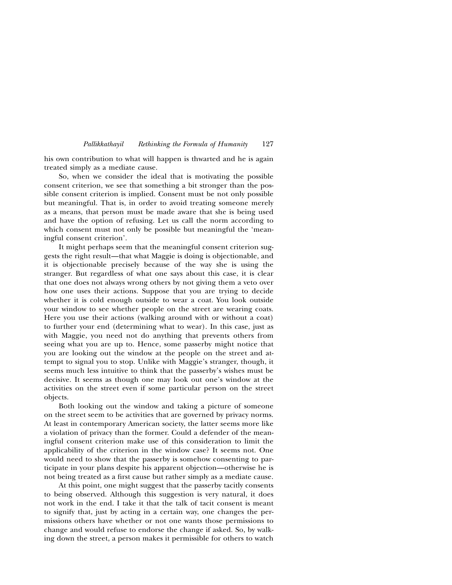his own contribution to what will happen is thwarted and he is again treated simply as a mediate cause.

So, when we consider the ideal that is motivating the possible consent criterion, we see that something a bit stronger than the possible consent criterion is implied. Consent must be not only possible but meaningful. That is, in order to avoid treating someone merely as a means, that person must be made aware that she is being used and have the option of refusing. Let us call the norm according to which consent must not only be possible but meaningful the 'meaningful consent criterion'.

It might perhaps seem that the meaningful consent criterion suggests the right result—that what Maggie is doing is objectionable, and it is objectionable precisely because of the way she is using the stranger. But regardless of what one says about this case, it is clear that one does not always wrong others by not giving them a veto over how one uses their actions. Suppose that you are trying to decide whether it is cold enough outside to wear a coat. You look outside your window to see whether people on the street are wearing coats. Here you use their actions (walking around with or without a coat) to further your end (determining what to wear). In this case, just as with Maggie, you need not do anything that prevents others from seeing what you are up to. Hence, some passerby might notice that you are looking out the window at the people on the street and attempt to signal you to stop. Unlike with Maggie's stranger, though, it seems much less intuitive to think that the passerby's wishes must be decisive. It seems as though one may look out one's window at the activities on the street even if some particular person on the street objects.

Both looking out the window and taking a picture of someone on the street seem to be activities that are governed by privacy norms. At least in contemporary American society, the latter seems more like a violation of privacy than the former. Could a defender of the meaningful consent criterion make use of this consideration to limit the applicability of the criterion in the window case? It seems not. One would need to show that the passerby is somehow consenting to participate in your plans despite his apparent objection—otherwise he is not being treated as a first cause but rather simply as a mediate cause.

At this point, one might suggest that the passerby tacitly consents to being observed. Although this suggestion is very natural, it does not work in the end. I take it that the talk of tacit consent is meant to signify that, just by acting in a certain way, one changes the permissions others have whether or not one wants those permissions to change and would refuse to endorse the change if asked. So, by walking down the street, a person makes it permissible for others to watch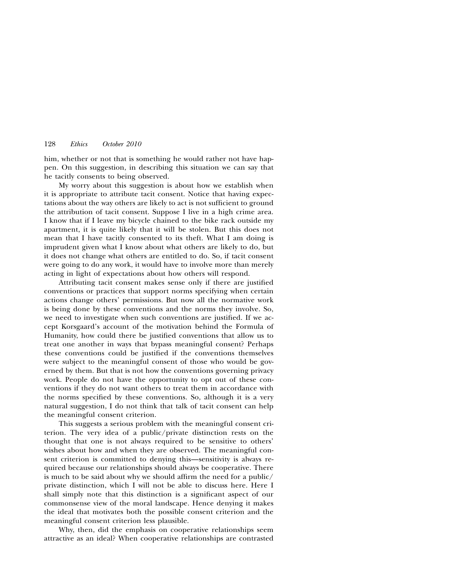him, whether or not that is something he would rather not have happen. On this suggestion, in describing this situation we can say that he tacitly consents to being observed.

My worry about this suggestion is about how we establish when it is appropriate to attribute tacit consent. Notice that having expectations about the way others are likely to act is not sufficient to ground the attribution of tacit consent. Suppose I live in a high crime area. I know that if I leave my bicycle chained to the bike rack outside my apartment, it is quite likely that it will be stolen. But this does not mean that I have tacitly consented to its theft. What I am doing is imprudent given what I know about what others are likely to do, but it does not change what others are entitled to do. So, if tacit consent were going to do any work, it would have to involve more than merely acting in light of expectations about how others will respond.

Attributing tacit consent makes sense only if there are justified conventions or practices that support norms specifying when certain actions change others' permissions. But now all the normative work is being done by these conventions and the norms they involve. So, we need to investigate when such conventions are justified. If we accept Korsgaard's account of the motivation behind the Formula of Humanity, how could there be justified conventions that allow us to treat one another in ways that bypass meaningful consent? Perhaps these conventions could be justified if the conventions themselves were subject to the meaningful consent of those who would be governed by them. But that is not how the conventions governing privacy work. People do not have the opportunity to opt out of these conventions if they do not want others to treat them in accordance with the norms specified by these conventions. So, although it is a very natural suggestion, I do not think that talk of tacit consent can help the meaningful consent criterion.

This suggests a serious problem with the meaningful consent criterion. The very idea of a public/private distinction rests on the thought that one is not always required to be sensitive to others' wishes about how and when they are observed. The meaningful consent criterion is committed to denying this—sensitivity is always required because our relationships should always be cooperative. There is much to be said about why we should affirm the need for a public/ private distinction, which I will not be able to discuss here. Here I shall simply note that this distinction is a significant aspect of our commonsense view of the moral landscape. Hence denying it makes the ideal that motivates both the possible consent criterion and the meaningful consent criterion less plausible.

Why, then, did the emphasis on cooperative relationships seem attractive as an ideal? When cooperative relationships are contrasted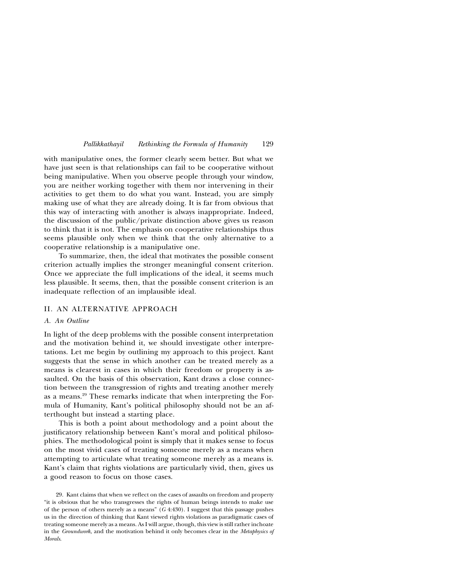with manipulative ones, the former clearly seem better. But what we have just seen is that relationships can fail to be cooperative without being manipulative. When you observe people through your window, you are neither working together with them nor intervening in their activities to get them to do what you want. Instead, you are simply making use of what they are already doing. It is far from obvious that this way of interacting with another is always inappropriate. Indeed, the discussion of the public/private distinction above gives us reason to think that it is not. The emphasis on cooperative relationships thus seems plausible only when we think that the only alternative to a cooperative relationship is a manipulative one.

To summarize, then, the ideal that motivates the possible consent criterion actually implies the stronger meaningful consent criterion. Once we appreciate the full implications of the ideal, it seems much less plausible. It seems, then, that the possible consent criterion is an inadequate reflection of an implausible ideal.

## II. AN ALTERNATIVE APPROACH

## *A. An Outline*

In light of the deep problems with the possible consent interpretation and the motivation behind it, we should investigate other interpretations. Let me begin by outlining my approach to this project. Kant suggests that the sense in which another can be treated merely as a means is clearest in cases in which their freedom or property is assaulted. On the basis of this observation, Kant draws a close connection between the transgression of rights and treating another merely as a means.<sup>29</sup> These remarks indicate that when interpreting the Formula of Humanity, Kant's political philosophy should not be an afterthought but instead a starting place.

This is both a point about methodology and a point about the justificatory relationship between Kant's moral and political philosophies. The methodological point is simply that it makes sense to focus on the most vivid cases of treating someone merely as a means when attempting to articulate what treating someone merely as a means is. Kant's claim that rights violations are particularly vivid, then, gives us a good reason to focus on those cases.

<sup>29.</sup> Kant claims that when we reflect on the cases of assaults on freedom and property "it is obvious that he who transgresses the rights of human beings intends to make use of the person of others merely as a means" (*G* 4:430). I suggest that this passage pushes us in the direction of thinking that Kant viewed rights violations as paradigmatic cases of treating someone merely as a means. As I will argue, though, this view is still rather inchoate in the *Groundwork*, and the motivation behind it only becomes clear in the *Metaphysics of Morals*.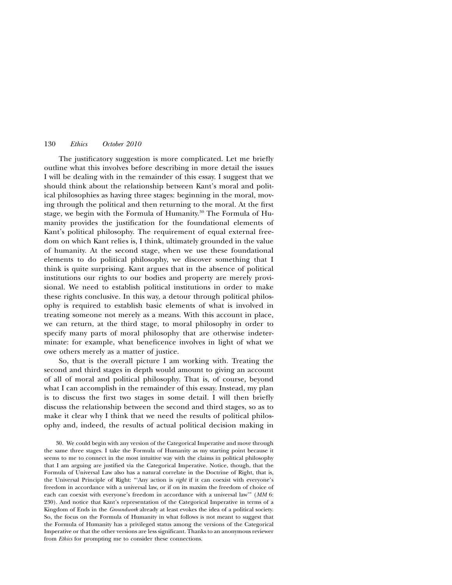The justificatory suggestion is more complicated. Let me briefly outline what this involves before describing in more detail the issues I will be dealing with in the remainder of this essay. I suggest that we should think about the relationship between Kant's moral and political philosophies as having three stages: beginning in the moral, moving through the political and then returning to the moral. At the first stage, we begin with the Formula of Humanity.<sup>30</sup> The Formula of Humanity provides the justification for the foundational elements of Kant's political philosophy. The requirement of equal external freedom on which Kant relies is, I think, ultimately grounded in the value of humanity. At the second stage, when we use these foundational elements to do political philosophy, we discover something that I think is quite surprising. Kant argues that in the absence of political institutions our rights to our bodies and property are merely provisional. We need to establish political institutions in order to make these rights conclusive. In this way, a detour through political philosophy is required to establish basic elements of what is involved in treating someone not merely as a means. With this account in place, we can return, at the third stage, to moral philosophy in order to specify many parts of moral philosophy that are otherwise indeterminate: for example, what beneficence involves in light of what we owe others merely as a matter of justice.

So, that is the overall picture I am working with. Treating the second and third stages in depth would amount to giving an account of all of moral and political philosophy. That is, of course, beyond what I can accomplish in the remainder of this essay. Instead, my plan is to discuss the first two stages in some detail. I will then briefly discuss the relationship between the second and third stages, so as to make it clear why I think that we need the results of political philosophy and, indeed, the results of actual political decision making in

30. We could begin with any version of the Categorical Imperative and move through the same three stages. I take the Formula of Humanity as my starting point because it seems to me to connect in the most intuitive way with the claims in political philosophy that I am arguing are justified via the Categorical Imperative. Notice, though, that the Formula of Universal Law also has a natural correlate in the Doctrine of Right, that is, the Universal Principle of Right: "'Any action is *right* if it can coexist with everyone's freedom in accordance with a universal law, or if on its maxim the freedom of choice of each can coexist with everyone's freedom in accordance with a universal law'" (*MM* 6: 230). And notice that Kant's representation of the Categorical Imperative in terms of a Kingdom of Ends in the *Groundwork* already at least evokes the idea of a political society. So, the focus on the Formula of Humanity in what follows is not meant to suggest that the Formula of Humanity has a privileged status among the versions of the Categorical Imperative or that the other versions are less significant. Thanks to an anonymous reviewer from *Ethics* for prompting me to consider these connections.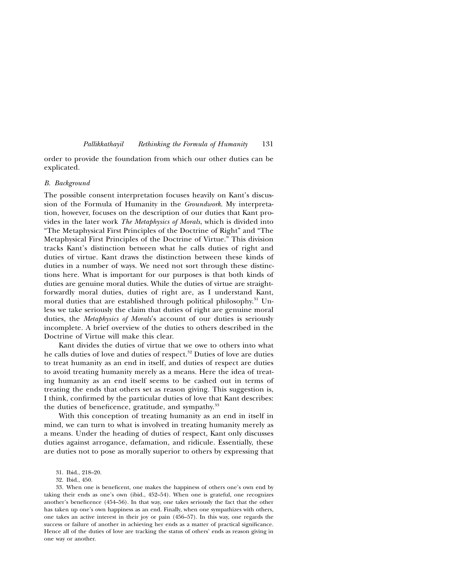order to provide the foundation from which our other duties can be explicated.

## *B. Background*

The possible consent interpretation focuses heavily on Kant's discussion of the Formula of Humanity in the *Groundwork*. My interpretation, however, focuses on the description of our duties that Kant provides in the later work *The Metaphysics of Morals*, which is divided into "The Metaphysical First Principles of the Doctrine of Right" and "The Metaphysical First Principles of the Doctrine of Virtue." This division tracks Kant's distinction between what he calls duties of right and duties of virtue. Kant draws the distinction between these kinds of duties in a number of ways. We need not sort through these distinctions here. What is important for our purposes is that both kinds of duties are genuine moral duties. While the duties of virtue are straightforwardly moral duties, duties of right are, as I understand Kant, moral duties that are established through political philosophy.<sup>31</sup> Unless we take seriously the claim that duties of right are genuine moral duties, the *Metaphysics of Morals*'s account of our duties is seriously incomplete. A brief overview of the duties to others described in the Doctrine of Virtue will make this clear.

Kant divides the duties of virtue that we owe to others into what he calls duties of love and duties of respect.<sup>32</sup> Duties of love are duties to treat humanity as an end in itself, and duties of respect are duties to avoid treating humanity merely as a means. Here the idea of treating humanity as an end itself seems to be cashed out in terms of treating the ends that others set as reason giving. This suggestion is, I think, confirmed by the particular duties of love that Kant describes: the duties of beneficence, gratitude, and sympathy.<sup>33</sup>

With this conception of treating humanity as an end in itself in mind, we can turn to what is involved in treating humanity merely as a means. Under the heading of duties of respect, Kant only discusses duties against arrogance, defamation, and ridicule. Essentially, these are duties not to pose as morally superior to others by expressing that

33. When one is beneficent, one makes the happiness of others one's own end by taking their ends as one's own (ibid., 452–54). When one is grateful, one recognizes another's beneficence (454–56). In that way, one takes seriously the fact that the other has taken up one's own happiness as an end. Finally, when one sympathizes with others, one takes an active interest in their joy or pain (456–57). In this way, one regards the success or failure of another in achieving her ends as a matter of practical significance. Hence all of the duties of love are tracking the status of others' ends as reason giving in one way or another.

<sup>31.</sup> Ibid., 218–20.

<sup>32.</sup> Ibid., 450.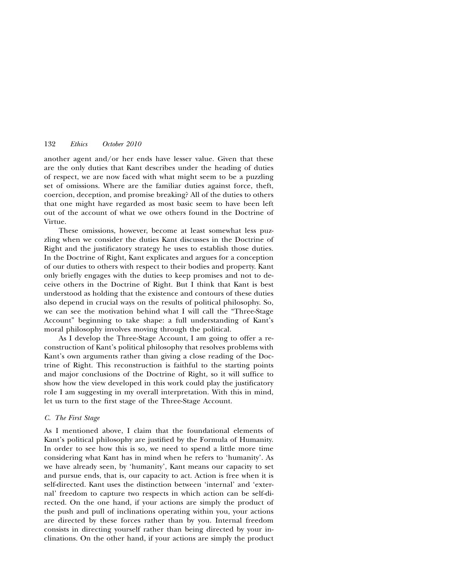another agent and/or her ends have lesser value. Given that these are the only duties that Kant describes under the heading of duties of respect, we are now faced with what might seem to be a puzzling set of omissions. Where are the familiar duties against force, theft, coercion, deception, and promise breaking? All of the duties to others that one might have regarded as most basic seem to have been left out of the account of what we owe others found in the Doctrine of Virtue.

These omissions, however, become at least somewhat less puzzling when we consider the duties Kant discusses in the Doctrine of Right and the justificatory strategy he uses to establish those duties. In the Doctrine of Right, Kant explicates and argues for a conception of our duties to others with respect to their bodies and property. Kant only briefly engages with the duties to keep promises and not to deceive others in the Doctrine of Right. But I think that Kant is best understood as holding that the existence and contours of these duties also depend in crucial ways on the results of political philosophy. So, we can see the motivation behind what I will call the "Three-Stage Account" beginning to take shape: a full understanding of Kant's moral philosophy involves moving through the political.

As I develop the Three-Stage Account, I am going to offer a reconstruction of Kant's political philosophy that resolves problems with Kant's own arguments rather than giving a close reading of the Doctrine of Right. This reconstruction is faithful to the starting points and major conclusions of the Doctrine of Right, so it will suffice to show how the view developed in this work could play the justificatory role I am suggesting in my overall interpretation. With this in mind, let us turn to the first stage of the Three-Stage Account.

## *C. The First Stage*

As I mentioned above, I claim that the foundational elements of Kant's political philosophy are justified by the Formula of Humanity. In order to see how this is so, we need to spend a little more time considering what Kant has in mind when he refers to 'humanity'. As we have already seen, by 'humanity', Kant means our capacity to set and pursue ends, that is, our capacity to act. Action is free when it is self-directed. Kant uses the distinction between 'internal' and 'external' freedom to capture two respects in which action can be self-directed. On the one hand, if your actions are simply the product of the push and pull of inclinations operating within you, your actions are directed by these forces rather than by you. Internal freedom consists in directing yourself rather than being directed by your inclinations. On the other hand, if your actions are simply the product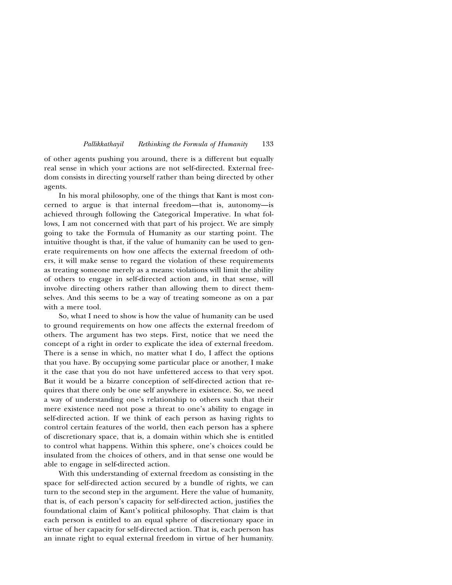of other agents pushing you around, there is a different but equally real sense in which your actions are not self-directed. External freedom consists in directing yourself rather than being directed by other agents.

In his moral philosophy, one of the things that Kant is most concerned to argue is that internal freedom—that is, autonomy—is achieved through following the Categorical Imperative. In what follows, I am not concerned with that part of his project. We are simply going to take the Formula of Humanity as our starting point. The intuitive thought is that, if the value of humanity can be used to generate requirements on how one affects the external freedom of others, it will make sense to regard the violation of these requirements as treating someone merely as a means: violations will limit the ability of others to engage in self-directed action and, in that sense, will involve directing others rather than allowing them to direct themselves. And this seems to be a way of treating someone as on a par with a mere tool.

So, what I need to show is how the value of humanity can be used to ground requirements on how one affects the external freedom of others. The argument has two steps. First, notice that we need the concept of a right in order to explicate the idea of external freedom. There is a sense in which, no matter what I do, I affect the options that you have. By occupying some particular place or another, I make it the case that you do not have unfettered access to that very spot. But it would be a bizarre conception of self-directed action that requires that there only be one self anywhere in existence. So, we need a way of understanding one's relationship to others such that their mere existence need not pose a threat to one's ability to engage in self-directed action. If we think of each person as having rights to control certain features of the world, then each person has a sphere of discretionary space, that is, a domain within which she is entitled to control what happens. Within this sphere, one's choices could be insulated from the choices of others, and in that sense one would be able to engage in self-directed action.

With this understanding of external freedom as consisting in the space for self-directed action secured by a bundle of rights, we can turn to the second step in the argument. Here the value of humanity, that is, of each person's capacity for self-directed action, justifies the foundational claim of Kant's political philosophy. That claim is that each person is entitled to an equal sphere of discretionary space in virtue of her capacity for self-directed action. That is, each person has an innate right to equal external freedom in virtue of her humanity.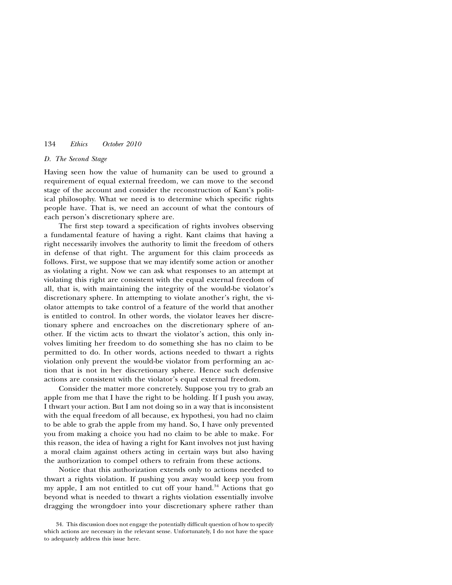## *D. The Second Stage*

Having seen how the value of humanity can be used to ground a requirement of equal external freedom, we can move to the second stage of the account and consider the reconstruction of Kant's political philosophy. What we need is to determine which specific rights people have. That is, we need an account of what the contours of each person's discretionary sphere are.

The first step toward a specification of rights involves observing a fundamental feature of having a right. Kant claims that having a right necessarily involves the authority to limit the freedom of others in defense of that right. The argument for this claim proceeds as follows. First, we suppose that we may identify some action or another as violating a right. Now we can ask what responses to an attempt at violating this right are consistent with the equal external freedom of all, that is, with maintaining the integrity of the would-be violator's discretionary sphere. In attempting to violate another's right, the violator attempts to take control of a feature of the world that another is entitled to control. In other words, the violator leaves her discretionary sphere and encroaches on the discretionary sphere of another. If the victim acts to thwart the violator's action, this only involves limiting her freedom to do something she has no claim to be permitted to do. In other words, actions needed to thwart a rights violation only prevent the would-be violator from performing an action that is not in her discretionary sphere. Hence such defensive actions are consistent with the violator's equal external freedom.

Consider the matter more concretely. Suppose you try to grab an apple from me that I have the right to be holding. If I push you away, I thwart your action. But I am not doing so in a way that is inconsistent with the equal freedom of all because, ex hypothesi, you had no claim to be able to grab the apple from my hand. So, I have only prevented you from making a choice you had no claim to be able to make. For this reason, the idea of having a right for Kant involves not just having a moral claim against others acting in certain ways but also having the authorization to compel others to refrain from these actions.

Notice that this authorization extends only to actions needed to thwart a rights violation. If pushing you away would keep you from my apple, I am not entitled to cut off your hand.<sup>34</sup> Actions that go beyond what is needed to thwart a rights violation essentially involve dragging the wrongdoer into your discretionary sphere rather than

<sup>34.</sup> This discussion does not engage the potentially difficult question of how to specify which actions are necessary in the relevant sense. Unfortunately, I do not have the space to adequately address this issue here.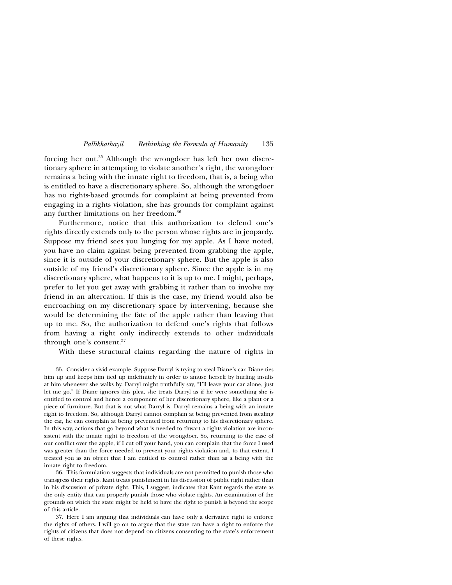forcing her out.<sup>35</sup> Although the wrongdoer has left her own discretionary sphere in attempting to violate another's right, the wrongdoer remains a being with the innate right to freedom, that is, a being who is entitled to have a discretionary sphere. So, although the wrongdoer has no rights-based grounds for complaint at being prevented from engaging in a rights violation, she has grounds for complaint against any further limitations on her freedom.<sup>36</sup>

Furthermore, notice that this authorization to defend one's rights directly extends only to the person whose rights are in jeopardy. Suppose my friend sees you lunging for my apple. As I have noted, you have no claim against being prevented from grabbing the apple, since it is outside of your discretionary sphere. But the apple is also outside of my friend's discretionary sphere. Since the apple is in my discretionary sphere, what happens to it is up to me. I might, perhaps, prefer to let you get away with grabbing it rather than to involve my friend in an altercation. If this is the case, my friend would also be encroaching on my discretionary space by intervening, because she would be determining the fate of the apple rather than leaving that up to me. So, the authorization to defend one's rights that follows from having a right only indirectly extends to other individuals through one's consent.<sup>37</sup>

With these structural claims regarding the nature of rights in

35. Consider a vivid example. Suppose Darryl is trying to steal Diane's car. Diane ties him up and keeps him tied up indefinitely in order to amuse herself by hurling insults at him whenever she walks by. Darryl might truthfully say, "I'll leave your car alone, just let me go." If Diane ignores this plea, she treats Darryl as if he were something she is entitled to control and hence a component of her discretionary sphere, like a plant or a piece of furniture. But that is not what Darryl is. Darryl remains a being with an innate right to freedom. So, although Darryl cannot complain at being prevented from stealing the car, he can complain at being prevented from returning to his discretionary sphere. In this way, actions that go beyond what is needed to thwart a rights violation are inconsistent with the innate right to freedom of the wrongdoer. So, returning to the case of our conflict over the apple, if I cut off your hand, you can complain that the force I used was greater than the force needed to prevent your rights violation and, to that extent, I treated you as an object that I am entitled to control rather than as a being with the innate right to freedom.

36. This formulation suggests that individuals are not permitted to punish those who transgress their rights. Kant treats punishment in his discussion of public right rather than in his discussion of private right. This, I suggest, indicates that Kant regards the state as the only entity that can properly punish those who violate rights. An examination of the grounds on which the state might be held to have the right to punish is beyond the scope of this article.

37. Here I am arguing that individuals can have only a derivative right to enforce the rights of others. I will go on to argue that the state can have a right to enforce the rights of citizens that does not depend on citizens consenting to the state's enforcement of these rights.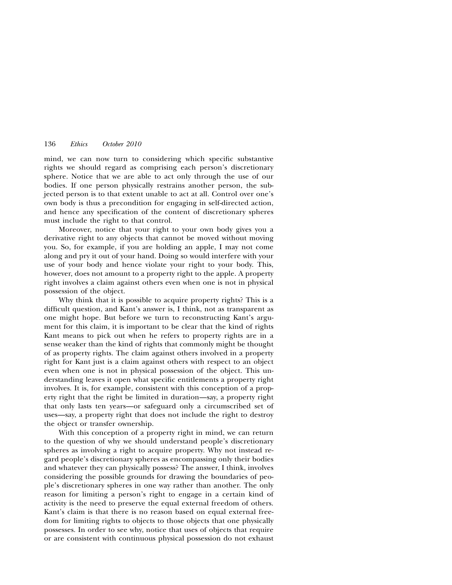mind, we can now turn to considering which specific substantive rights we should regard as comprising each person's discretionary sphere. Notice that we are able to act only through the use of our bodies. If one person physically restrains another person, the subjected person is to that extent unable to act at all. Control over one's own body is thus a precondition for engaging in self-directed action, and hence any specification of the content of discretionary spheres must include the right to that control.

Moreover, notice that your right to your own body gives you a derivative right to any objects that cannot be moved without moving you. So, for example, if you are holding an apple, I may not come along and pry it out of your hand. Doing so would interfere with your use of your body and hence violate your right to your body. This, however, does not amount to a property right to the apple. A property right involves a claim against others even when one is not in physical possession of the object.

Why think that it is possible to acquire property rights? This is a difficult question, and Kant's answer is, I think, not as transparent as one might hope. But before we turn to reconstructing Kant's argument for this claim, it is important to be clear that the kind of rights Kant means to pick out when he refers to property rights are in a sense weaker than the kind of rights that commonly might be thought of as property rights. The claim against others involved in a property right for Kant just is a claim against others with respect to an object even when one is not in physical possession of the object. This understanding leaves it open what specific entitlements a property right involves. It is, for example, consistent with this conception of a property right that the right be limited in duration—say, a property right that only lasts ten years—or safeguard only a circumscribed set of uses—say, a property right that does not include the right to destroy the object or transfer ownership.

With this conception of a property right in mind, we can return to the question of why we should understand people's discretionary spheres as involving a right to acquire property. Why not instead regard people's discretionary spheres as encompassing only their bodies and whatever they can physically possess? The answer, I think, involves considering the possible grounds for drawing the boundaries of people's discretionary spheres in one way rather than another. The only reason for limiting a person's right to engage in a certain kind of activity is the need to preserve the equal external freedom of others. Kant's claim is that there is no reason based on equal external freedom for limiting rights to objects to those objects that one physically possesses. In order to see why, notice that uses of objects that require or are consistent with continuous physical possession do not exhaust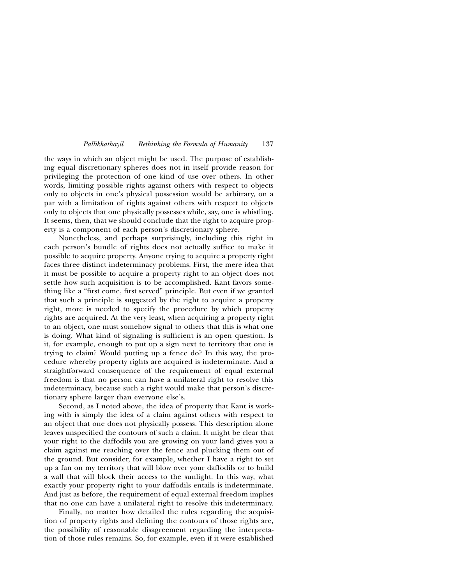the ways in which an object might be used. The purpose of establishing equal discretionary spheres does not in itself provide reason for privileging the protection of one kind of use over others. In other words, limiting possible rights against others with respect to objects only to objects in one's physical possession would be arbitrary, on a par with a limitation of rights against others with respect to objects only to objects that one physically possesses while, say, one is whistling. It seems, then, that we should conclude that the right to acquire property is a component of each person's discretionary sphere.

Nonetheless, and perhaps surprisingly, including this right in each person's bundle of rights does not actually suffice to make it possible to acquire property. Anyone trying to acquire a property right faces three distinct indeterminacy problems. First, the mere idea that it must be possible to acquire a property right to an object does not settle how such acquisition is to be accomplished. Kant favors something like a "first come, first served" principle. But even if we granted that such a principle is suggested by the right to acquire a property right, more is needed to specify the procedure by which property rights are acquired. At the very least, when acquiring a property right to an object, one must somehow signal to others that this is what one is doing. What kind of signaling is sufficient is an open question. Is it, for example, enough to put up a sign next to territory that one is trying to claim? Would putting up a fence do? In this way, the procedure whereby property rights are acquired is indeterminate. And a straightforward consequence of the requirement of equal external freedom is that no person can have a unilateral right to resolve this indeterminacy, because such a right would make that person's discretionary sphere larger than everyone else's.

Second, as I noted above, the idea of property that Kant is working with is simply the idea of a claim against others with respect to an object that one does not physically possess. This description alone leaves unspecified the contours of such a claim. It might be clear that your right to the daffodils you are growing on your land gives you a claim against me reaching over the fence and plucking them out of the ground. But consider, for example, whether I have a right to set up a fan on my territory that will blow over your daffodils or to build a wall that will block their access to the sunlight. In this way, what exactly your property right to your daffodils entails is indeterminate. And just as before, the requirement of equal external freedom implies that no one can have a unilateral right to resolve this indeterminacy.

Finally, no matter how detailed the rules regarding the acquisition of property rights and defining the contours of those rights are, the possibility of reasonable disagreement regarding the interpretation of those rules remains. So, for example, even if it were established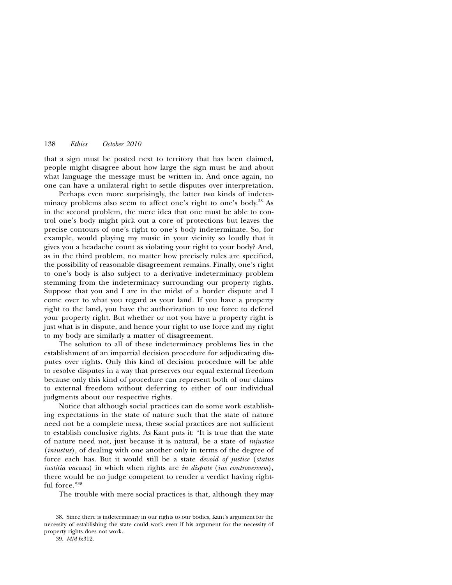that a sign must be posted next to territory that has been claimed, people might disagree about how large the sign must be and about what language the message must be written in. And once again, no one can have a unilateral right to settle disputes over interpretation.

Perhaps even more surprisingly, the latter two kinds of indeterminacy problems also seem to affect one's right to one's body.<sup>38</sup> As in the second problem, the mere idea that one must be able to control one's body might pick out a core of protections but leaves the precise contours of one's right to one's body indeterminate. So, for example, would playing my music in your vicinity so loudly that it gives you a headache count as violating your right to your body? And, as in the third problem, no matter how precisely rules are specified, the possibility of reasonable disagreement remains. Finally, one's right to one's body is also subject to a derivative indeterminacy problem stemming from the indeterminacy surrounding our property rights. Suppose that you and I are in the midst of a border dispute and I come over to what you regard as your land. If you have a property right to the land, you have the authorization to use force to defend your property right. But whether or not you have a property right is just what is in dispute, and hence your right to use force and my right to my body are similarly a matter of disagreement.

The solution to all of these indeterminacy problems lies in the establishment of an impartial decision procedure for adjudicating disputes over rights. Only this kind of decision procedure will be able to resolve disputes in a way that preserves our equal external freedom because only this kind of procedure can represent both of our claims to external freedom without deferring to either of our individual judgments about our respective rights.

Notice that although social practices can do some work establishing expectations in the state of nature such that the state of nature need not be a complete mess, these social practices are not sufficient to establish conclusive rights. As Kant puts it: "It is true that the state of nature need not, just because it is natural, be a state of *injustice* (*iniustus*), of dealing with one another only in terms of the degree of force each has. But it would still be a state *devoid of justice* (*status iustitia vacuus*) in which when rights are *in dispute* (*ius controversum*), there would be no judge competent to render a verdict having rightful force."<sup>39</sup>

The trouble with mere social practices is that, although they may

39. *MM* 6:312.

<sup>38.</sup> Since there is indeterminacy in our rights to our bodies, Kant's argument for the necessity of establishing the state could work even if his argument for the necessity of property rights does not work.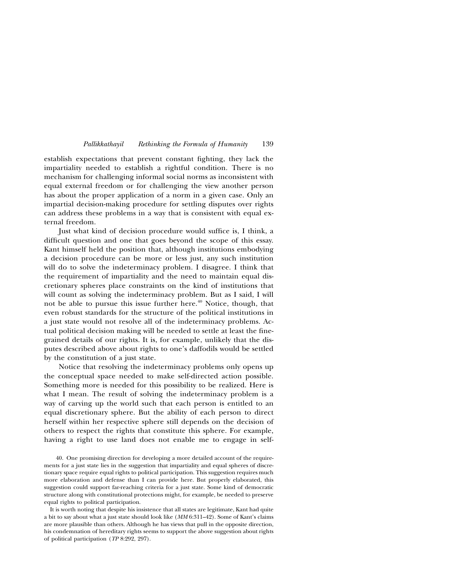establish expectations that prevent constant fighting, they lack the impartiality needed to establish a rightful condition. There is no mechanism for challenging informal social norms as inconsistent with equal external freedom or for challenging the view another person has about the proper application of a norm in a given case. Only an impartial decision-making procedure for settling disputes over rights can address these problems in a way that is consistent with equal external freedom.

Just what kind of decision procedure would suffice is, I think, a difficult question and one that goes beyond the scope of this essay. Kant himself held the position that, although institutions embodying a decision procedure can be more or less just, any such institution will do to solve the indeterminacy problem. I disagree. I think that the requirement of impartiality and the need to maintain equal discretionary spheres place constraints on the kind of institutions that will count as solving the indeterminacy problem. But as I said, I will not be able to pursue this issue further here. $40$  Notice, though, that even robust standards for the structure of the political institutions in a just state would not resolve all of the indeterminacy problems. Actual political decision making will be needed to settle at least the finegrained details of our rights. It is, for example, unlikely that the disputes described above about rights to one's daffodils would be settled by the constitution of a just state.

Notice that resolving the indeterminacy problems only opens up the conceptual space needed to make self-directed action possible. Something more is needed for this possibility to be realized. Here is what I mean. The result of solving the indeterminacy problem is a way of carving up the world such that each person is entitled to an equal discretionary sphere. But the ability of each person to direct herself within her respective sphere still depends on the decision of others to respect the rights that constitute this sphere. For example, having a right to use land does not enable me to engage in self-

40. One promising direction for developing a more detailed account of the requirements for a just state lies in the suggestion that impartiality and equal spheres of discretionary space require equal rights to political participation. This suggestion requires much more elaboration and defense than I can provide here. But properly elaborated, this suggestion could support far-reaching criteria for a just state. Some kind of democratic structure along with constitutional protections might, for example, be needed to preserve equal rights to political participation.

It is worth noting that despite his insistence that all states are legitimate, Kant had quite a bit to say about what a just state should look like (*MM* 6:311–42). Some of Kant's claims are more plausible than others. Although he has views that pull in the opposite direction, his condemnation of hereditary rights seems to support the above suggestion about rights of political participation (*TP* 8:292, 297).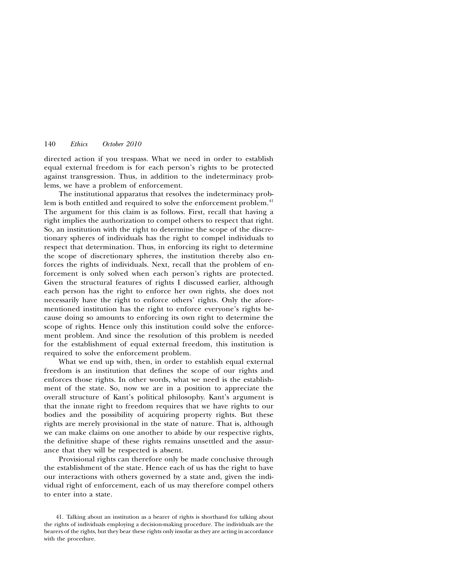directed action if you trespass. What we need in order to establish equal external freedom is for each person's rights to be protected against transgression. Thus, in addition to the indeterminacy problems, we have a problem of enforcement.

The institutional apparatus that resolves the indeterminacy problem is both entitled and required to solve the enforcement problem.<sup>41</sup> The argument for this claim is as follows. First, recall that having a right implies the authorization to compel others to respect that right. So, an institution with the right to determine the scope of the discretionary spheres of individuals has the right to compel individuals to respect that determination. Thus, in enforcing its right to determine the scope of discretionary spheres, the institution thereby also enforces the rights of individuals. Next, recall that the problem of enforcement is only solved when each person's rights are protected. Given the structural features of rights I discussed earlier, although each person has the right to enforce her own rights, she does not necessarily have the right to enforce others' rights. Only the aforementioned institution has the right to enforce everyone's rights because doing so amounts to enforcing its own right to determine the scope of rights. Hence only this institution could solve the enforcement problem. And since the resolution of this problem is needed for the establishment of equal external freedom, this institution is required to solve the enforcement problem.

What we end up with, then, in order to establish equal external freedom is an institution that defines the scope of our rights and enforces those rights. In other words, what we need is the establishment of the state. So, now we are in a position to appreciate the overall structure of Kant's political philosophy. Kant's argument is that the innate right to freedom requires that we have rights to our bodies and the possibility of acquiring property rights. But these rights are merely provisional in the state of nature. That is, although we can make claims on one another to abide by our respective rights, the definitive shape of these rights remains unsettled and the assurance that they will be respected is absent.

Provisional rights can therefore only be made conclusive through the establishment of the state. Hence each of us has the right to have our interactions with others governed by a state and, given the individual right of enforcement, each of us may therefore compel others to enter into a state.

<sup>41.</sup> Talking about an institution as a bearer of rights is shorthand for talking about the rights of individuals employing a decision-making procedure. The individuals are the bearers of the rights, but they bear these rights only insofar as they are acting in accordance with the procedure.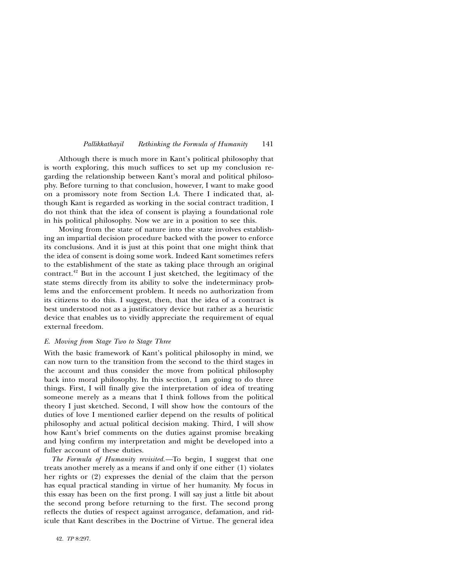Although there is much more in Kant's political philosophy that is worth exploring, this much suffices to set up my conclusion regarding the relationship between Kant's moral and political philosophy. Before turning to that conclusion, however, I want to make good on a promissory note from Section I.*A*. There I indicated that, although Kant is regarded as working in the social contract tradition, I do not think that the idea of consent is playing a foundational role in his political philosophy. Now we are in a position to see this.

Moving from the state of nature into the state involves establishing an impartial decision procedure backed with the power to enforce its conclusions. And it is just at this point that one might think that the idea of consent is doing some work. Indeed Kant sometimes refers to the establishment of the state as taking place through an original contract.<sup>42</sup> But in the account I just sketched, the legitimacy of the state stems directly from its ability to solve the indeterminacy problems and the enforcement problem. It needs no authorization from its citizens to do this. I suggest, then, that the idea of a contract is best understood not as a justificatory device but rather as a heuristic device that enables us to vividly appreciate the requirement of equal external freedom.

## *E. Moving from Stage Two to Stage Three*

With the basic framework of Kant's political philosophy in mind, we can now turn to the transition from the second to the third stages in the account and thus consider the move from political philosophy back into moral philosophy. In this section, I am going to do three things. First, I will finally give the interpretation of idea of treating someone merely as a means that I think follows from the political theory I just sketched. Second, I will show how the contours of the duties of love I mentioned earlier depend on the results of political philosophy and actual political decision making. Third, I will show how Kant's brief comments on the duties against promise breaking and lying confirm my interpretation and might be developed into a fuller account of these duties.

*The Formula of Humanity revisited.—*To begin, I suggest that one treats another merely as a means if and only if one either (1) violates her rights or (2) expresses the denial of the claim that the person has equal practical standing in virtue of her humanity. My focus in this essay has been on the first prong. I will say just a little bit about the second prong before returning to the first. The second prong reflects the duties of respect against arrogance, defamation, and ridicule that Kant describes in the Doctrine of Virtue. The general idea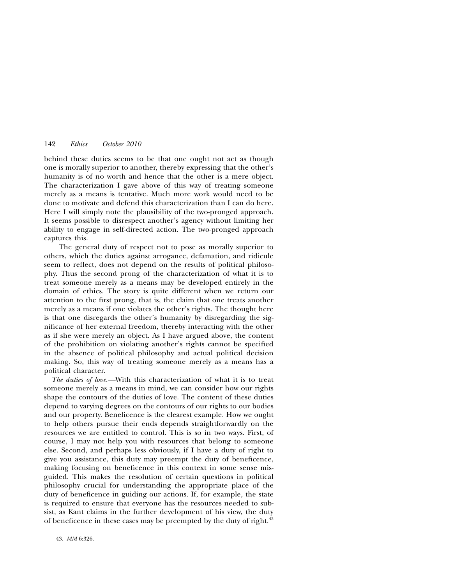behind these duties seems to be that one ought not act as though one is morally superior to another, thereby expressing that the other's humanity is of no worth and hence that the other is a mere object. The characterization I gave above of this way of treating someone merely as a means is tentative. Much more work would need to be done to motivate and defend this characterization than I can do here. Here I will simply note the plausibility of the two-pronged approach. It seems possible to disrespect another's agency without limiting her ability to engage in self-directed action. The two-pronged approach captures this.

The general duty of respect not to pose as morally superior to others, which the duties against arrogance, defamation, and ridicule seem to reflect, does not depend on the results of political philosophy. Thus the second prong of the characterization of what it is to treat someone merely as a means may be developed entirely in the domain of ethics. The story is quite different when we return our attention to the first prong, that is, the claim that one treats another merely as a means if one violates the other's rights. The thought here is that one disregards the other's humanity by disregarding the significance of her external freedom, thereby interacting with the other as if she were merely an object. As I have argued above, the content of the prohibition on violating another's rights cannot be specified in the absence of political philosophy and actual political decision making. So, this way of treating someone merely as a means has a political character.

*The duties of love.—*With this characterization of what it is to treat someone merely as a means in mind, we can consider how our rights shape the contours of the duties of love. The content of these duties depend to varying degrees on the contours of our rights to our bodies and our property. Beneficence is the clearest example. How we ought to help others pursue their ends depends straightforwardly on the resources we are entitled to control. This is so in two ways. First, of course, I may not help you with resources that belong to someone else. Second, and perhaps less obviously, if I have a duty of right to give you assistance, this duty may preempt the duty of beneficence, making focusing on beneficence in this context in some sense misguided. This makes the resolution of certain questions in political philosophy crucial for understanding the appropriate place of the duty of beneficence in guiding our actions. If, for example, the state is required to ensure that everyone has the resources needed to subsist, as Kant claims in the further development of his view, the duty of beneficence in these cases may be preempted by the duty of right.<sup>43</sup>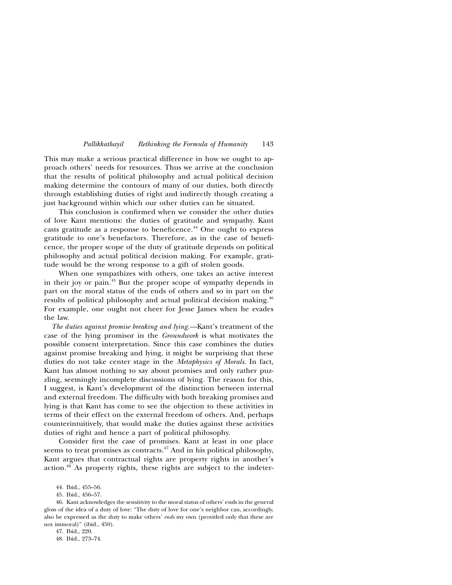This may make a serious practical difference in how we ought to approach others' needs for resources. Thus we arrive at the conclusion that the results of political philosophy and actual political decision making determine the contours of many of our duties, both directly through establishing duties of right and indirectly though creating a just background within which our other duties can be situated.

This conclusion is confirmed when we consider the other duties of love Kant mentions: the duties of gratitude and sympathy. Kant casts gratitude as a response to beneficence.<sup>44</sup> One ought to express gratitude to one's benefactors. Therefore, as in the case of beneficence, the proper scope of the duty of gratitude depends on political philosophy and actual political decision making. For example, gratitude would be the wrong response to a gift of stolen goods.

When one sympathizes with others, one takes an active interest in their joy or pain.<sup>45</sup> But the proper scope of sympathy depends in part on the moral status of the ends of others and so in part on the results of political philosophy and actual political decision making.<sup>46</sup> For example, one ought not cheer for Jesse James when he evades the law.

*The duties against promise breaking and lying.—*Kant's treatment of the case of the lying promisor in the *Groundwork* is what motivates the possible consent interpretation. Since this case combines the duties against promise breaking and lying, it might be surprising that these duties do not take center stage in the *Metaphysics of Morals*. In fact, Kant has almost nothing to say about promises and only rather puzzling, seemingly incomplete discussions of lying. The reason for this, I suggest, is Kant's development of the distinction between internal and external freedom. The difficulty with both breaking promises and lying is that Kant has come to see the objection to these activities in terms of their effect on the external freedom of others. And, perhaps counterintuitively, that would make the duties against these activities duties of right and hence a part of political philosophy.

Consider first the case of promises. Kant at least in one place seems to treat promises as contracts. $47$  And in his political philosophy, Kant argues that contractual rights are property rights in another's action.<sup>48</sup> As property rights, these rights are subject to the indeter-

<sup>44.</sup> Ibid., 455–56.

<sup>45.</sup> Ibid., 456–57.

<sup>46.</sup> Kant acknowledges the sensitivity to the moral status of others' ends in the general gloss of the idea of a duty of love: "The duty of love for one's neighbor can, accordingly, also be expressed as the duty to make others' *ends* my own (provided only that these are not immoral)" (ibid., 450).

<sup>47.</sup> Ibid., 220.

<sup>48.</sup> Ibid., 273–74.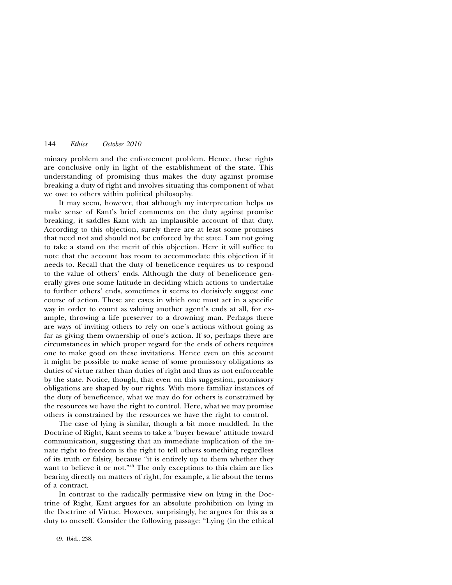minacy problem and the enforcement problem. Hence, these rights are conclusive only in light of the establishment of the state. This understanding of promising thus makes the duty against promise breaking a duty of right and involves situating this component of what we owe to others within political philosophy.

It may seem, however, that although my interpretation helps us make sense of Kant's brief comments on the duty against promise breaking, it saddles Kant with an implausible account of that duty. According to this objection, surely there are at least some promises that need not and should not be enforced by the state. I am not going to take a stand on the merit of this objection. Here it will suffice to note that the account has room to accommodate this objection if it needs to. Recall that the duty of beneficence requires us to respond to the value of others' ends. Although the duty of beneficence generally gives one some latitude in deciding which actions to undertake to further others' ends, sometimes it seems to decisively suggest one course of action. These are cases in which one must act in a specific way in order to count as valuing another agent's ends at all, for example, throwing a life preserver to a drowning man. Perhaps there are ways of inviting others to rely on one's actions without going as far as giving them ownership of one's action. If so, perhaps there are circumstances in which proper regard for the ends of others requires one to make good on these invitations. Hence even on this account it might be possible to make sense of some promissory obligations as duties of virtue rather than duties of right and thus as not enforceable by the state. Notice, though, that even on this suggestion, promissory obligations are shaped by our rights. With more familiar instances of the duty of beneficence, what we may do for others is constrained by the resources we have the right to control. Here, what we may promise others is constrained by the resources we have the right to control.

The case of lying is similar, though a bit more muddled. In the Doctrine of Right, Kant seems to take a 'buyer beware' attitude toward communication, suggesting that an immediate implication of the innate right to freedom is the right to tell others something regardless of its truth or falsity, because "it is entirely up to them whether they want to believe it or not."<sup>49</sup> The only exceptions to this claim are lies bearing directly on matters of right, for example, a lie about the terms of a contract.

In contrast to the radically permissive view on lying in the Doctrine of Right, Kant argues for an absolute prohibition on lying in the Doctrine of Virtue. However, surprisingly, he argues for this as a duty to oneself. Consider the following passage: "Lying (in the ethical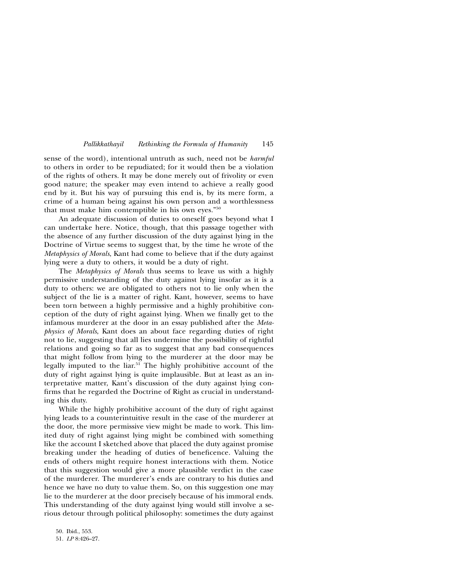sense of the word), intentional untruth as such, need not be *harmful* to others in order to be repudiated; for it would then be a violation of the rights of others. It may be done merely out of frivolity or even good nature; the speaker may even intend to achieve a really good end by it. But his way of pursuing this end is, by its mere form, a crime of a human being against his own person and a worthlessness that must make him contemptible in his own eyes."<sup>50</sup>

An adequate discussion of duties to oneself goes beyond what I can undertake here. Notice, though, that this passage together with the absence of any further discussion of the duty against lying in the Doctrine of Virtue seems to suggest that, by the time he wrote of the *Metaphysics of Morals*, Kant had come to believe that if the duty against lying were a duty to others, it would be a duty of right.

The *Metaphysics of Morals* thus seems to leave us with a highly permissive understanding of the duty against lying insofar as it is a duty to others: we are obligated to others not to lie only when the subject of the lie is a matter of right. Kant, however, seems to have been torn between a highly permissive and a highly prohibitive conception of the duty of right against lying. When we finally get to the infamous murderer at the door in an essay published after the *Metaphysics of Morals*, Kant does an about face regarding duties of right not to lie, suggesting that all lies undermine the possibility of rightful relations and going so far as to suggest that any bad consequences that might follow from lying to the murderer at the door may be legally imputed to the liar. $5\overline{1}$  The highly prohibitive account of the duty of right against lying is quite implausible. But at least as an interpretative matter, Kant's discussion of the duty against lying confirms that he regarded the Doctrine of Right as crucial in understanding this duty.

While the highly prohibitive account of the duty of right against lying leads to a counterintuitive result in the case of the murderer at the door, the more permissive view might be made to work. This limited duty of right against lying might be combined with something like the account I sketched above that placed the duty against promise breaking under the heading of duties of beneficence. Valuing the ends of others might require honest interactions with them. Notice that this suggestion would give a more plausible verdict in the case of the murderer. The murderer's ends are contrary to his duties and hence we have no duty to value them. So, on this suggestion one may lie to the murderer at the door precisely because of his immoral ends. This understanding of the duty against lying would still involve a serious detour through political philosophy: sometimes the duty against

50. Ibid., 553. 51. *LP* 8:426–27.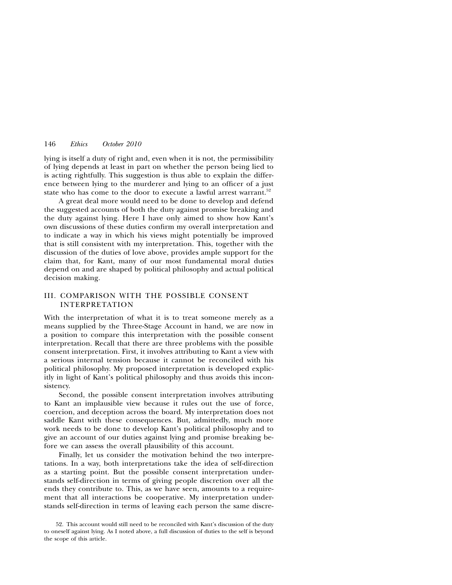lying is itself a duty of right and, even when it is not, the permissibility of lying depends at least in part on whether the person being lied to is acting rightfully. This suggestion is thus able to explain the difference between lying to the murderer and lying to an officer of a just state who has come to the door to execute a lawful arrest warrant.<sup>52</sup>

A great deal more would need to be done to develop and defend the suggested accounts of both the duty against promise breaking and the duty against lying. Here I have only aimed to show how Kant's own discussions of these duties confirm my overall interpretation and to indicate a way in which his views might potentially be improved that is still consistent with my interpretation. This, together with the discussion of the duties of love above, provides ample support for the claim that, for Kant, many of our most fundamental moral duties depend on and are shaped by political philosophy and actual political decision making.

# III. COMPARISON WITH THE POSSIBLE CONSENT INTERPRETATION

With the interpretation of what it is to treat someone merely as a means supplied by the Three-Stage Account in hand, we are now in a position to compare this interpretation with the possible consent interpretation. Recall that there are three problems with the possible consent interpretation. First, it involves attributing to Kant a view with a serious internal tension because it cannot be reconciled with his political philosophy. My proposed interpretation is developed explicitly in light of Kant's political philosophy and thus avoids this inconsistency.

Second, the possible consent interpretation involves attributing to Kant an implausible view because it rules out the use of force, coercion, and deception across the board. My interpretation does not saddle Kant with these consequences. But, admittedly, much more work needs to be done to develop Kant's political philosophy and to give an account of our duties against lying and promise breaking before we can assess the overall plausibility of this account.

Finally, let us consider the motivation behind the two interpretations. In a way, both interpretations take the idea of self-direction as a starting point. But the possible consent interpretation understands self-direction in terms of giving people discretion over all the ends they contribute to. This, as we have seen, amounts to a requirement that all interactions be cooperative. My interpretation understands self-direction in terms of leaving each person the same discre-

<sup>52.</sup> This account would still need to be reconciled with Kant's discussion of the duty to oneself against lying. As I noted above, a full discussion of duties to the self is beyond the scope of this article.